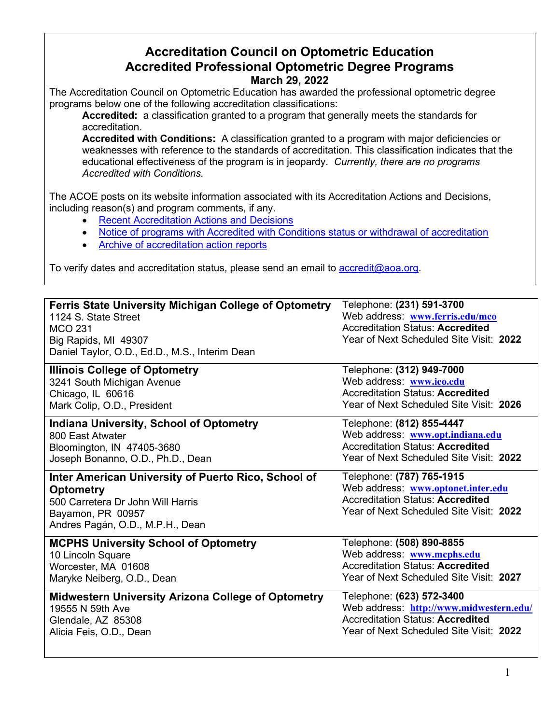## **Accreditation Council on Optometric Education Accredited Professional Optometric Degree Programs March 29, 2022**

The Accreditation Council on Optometric Education has awarded the professional optometric degree programs below one of the following accreditation classifications:

**Accredited:** a classification granted to a program that generally meets the standards for accreditation.

**Accredited with Conditions:** A classification granted to a program with major deficiencies or weaknesses with reference to the standards of accreditation. This classification indicates that the educational effectiveness of the program is in jeopardy. *Currently, there are no programs Accredited with Conditions.* 

The ACOE posts on its website information associated with its Accreditation Actions and Decisions, including reason(s) and program comments, if any.

- [Recent Accreditation Actions and Decisions](https://www.aoa.org/education/accreditation-council-on-optometric-education/recent-accreditation-actions?sso=y#RecentAccreditationActions)
- [Notice of programs with Accredited with Conditions status or withdrawal of accreditation](https://www.aoa.org/education/accreditation-council-on-optometric-education/recent-accreditation-actions?sso=y#NoticeofPrograms)
- [Archive of accreditation action reports](https://www.aoa.org/education/accreditation-council-on-optometric-education/recent-accreditation-actions?sso=y#ArchiveofPreviousAccreditationReports)

To verify dates and accreditation status, please send an email to [accredit@aoa.org.](mailto:accredit@aoa.org)

| <b>Ferris State University Michigan College of Optometry</b> | Telephone: (231) 591-3700               |
|--------------------------------------------------------------|-----------------------------------------|
| 1124 S. State Street                                         | Web address: www.ferris.edu/mco         |
| <b>MCO 231</b>                                               | <b>Accreditation Status: Accredited</b> |
| Big Rapids, MI 49307                                         | Year of Next Scheduled Site Visit: 2022 |
| Daniel Taylor, O.D., Ed.D., M.S., Interim Dean               |                                         |
| <b>Illinois College of Optometry</b>                         | Telephone: (312) 949-7000               |
| 3241 South Michigan Avenue                                   | Web address: www.ico.edu                |
| Chicago, IL 60616                                            | <b>Accreditation Status: Accredited</b> |
| Mark Colip, O.D., President                                  | Year of Next Scheduled Site Visit: 2026 |
| <b>Indiana University, School of Optometry</b>               | Telephone: (812) 855-4447               |
| 800 East Atwater                                             | Web address: www.opt.indiana.edu        |
| Bloomington, IN 47405-3680                                   | <b>Accreditation Status: Accredited</b> |
| Joseph Bonanno, O.D., Ph.D., Dean                            | Year of Next Scheduled Site Visit: 2022 |
| Inter American University of Puerto Rico, School of          | Telephone: (787) 765-1915               |
| <b>Optometry</b>                                             | Web address: www.optonet.inter.edu      |
| 500 Carretera Dr John Will Harris                            | <b>Accreditation Status: Accredited</b> |
| Bayamon, PR 00957                                            | Year of Next Scheduled Site Visit: 2022 |
| Andres Pagán, O.D., M.P.H., Dean                             |                                         |
| <b>MCPHS University School of Optometry</b>                  | Telephone: (508) 890-8855               |
| 10 Lincoln Square                                            | Web address: www.mcphs.edu              |
| Worcester, MA 01608                                          | <b>Accreditation Status: Accredited</b> |
| Maryke Neiberg, O.D., Dean                                   |                                         |
|                                                              |                                         |
|                                                              | Year of Next Scheduled Site Visit: 2027 |
| <b>Midwestern University Arizona College of Optometry</b>    | Telephone: (623) 572-3400               |
| 19555 N 59th Ave                                             | Web address: http://www.midwestern.edu/ |
| Glendale, AZ 85308                                           | <b>Accreditation Status: Accredited</b> |
| Alicia Feis, O.D., Dean                                      | Year of Next Scheduled Site Visit: 2022 |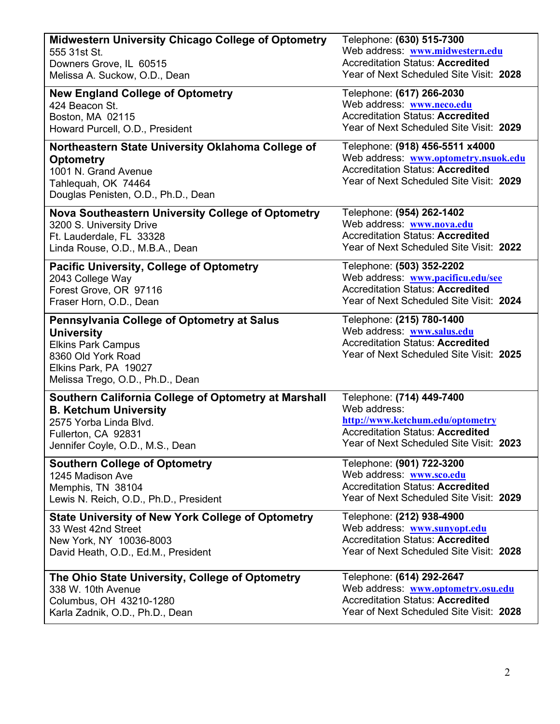| <b>Midwestern University Chicago College of Optometry</b>                                                                                                                       | Telephone: (630) 515-7300                                                                                                                                     |
|---------------------------------------------------------------------------------------------------------------------------------------------------------------------------------|---------------------------------------------------------------------------------------------------------------------------------------------------------------|
| 555 31st St.                                                                                                                                                                    | Web address: www.midwestern.edu                                                                                                                               |
| Downers Grove, IL 60515                                                                                                                                                         | <b>Accreditation Status: Accredited</b>                                                                                                                       |
| Melissa A. Suckow, O.D., Dean                                                                                                                                                   | Year of Next Scheduled Site Visit: 2028                                                                                                                       |
| <b>New England College of Optometry</b>                                                                                                                                         | Telephone: (617) 266-2030                                                                                                                                     |
| 424 Beacon St.                                                                                                                                                                  | Web address: www.neco.edu                                                                                                                                     |
| Boston, MA 02115                                                                                                                                                                | <b>Accreditation Status: Accredited</b>                                                                                                                       |
| Howard Purcell, O.D., President                                                                                                                                                 | Year of Next Scheduled Site Visit: 2029                                                                                                                       |
| Northeastern State University Oklahoma College of<br><b>Optometry</b><br>1001 N. Grand Avenue<br>Tahlequah, OK 74464<br>Douglas Penisten, O.D., Ph.D., Dean                     | Telephone: (918) 456-5511 x4000<br>Web address: www.optometry.nsuok.edu<br><b>Accreditation Status: Accredited</b><br>Year of Next Scheduled Site Visit: 2029 |
| Nova Southeastern University College of Optometry                                                                                                                               | Telephone: (954) 262-1402                                                                                                                                     |
| 3200 S. University Drive                                                                                                                                                        | Web address: www.nova.edu                                                                                                                                     |
| Ft. Lauderdale, FL 33328                                                                                                                                                        | <b>Accreditation Status: Accredited</b>                                                                                                                       |
| Linda Rouse, O.D., M.B.A., Dean                                                                                                                                                 | Year of Next Scheduled Site Visit: 2022                                                                                                                       |
| <b>Pacific University, College of Optometry</b>                                                                                                                                 | Telephone: (503) 352-2202                                                                                                                                     |
| 2043 College Way                                                                                                                                                                | Web address: www.pacificu.edu/see                                                                                                                             |
| Forest Grove, OR 97116                                                                                                                                                          | <b>Accreditation Status: Accredited</b>                                                                                                                       |
| Fraser Horn, O.D., Dean                                                                                                                                                         | Year of Next Scheduled Site Visit: 2024                                                                                                                       |
| Pennsylvania College of Optometry at Salus<br><b>University</b><br><b>Elkins Park Campus</b><br>8360 Old York Road<br>Elkins Park, PA 19027<br>Melissa Trego, O.D., Ph.D., Dean | Telephone: (215) 780-1400<br>Web address: www.salus.edu<br><b>Accreditation Status: Accredited</b><br>Year of Next Scheduled Site Visit: 2025                 |
| Southern California College of Optometry at Marshall                                                                                                                            | Telephone: (714) 449-7400                                                                                                                                     |
| <b>B. Ketchum University</b>                                                                                                                                                    | Web address:                                                                                                                                                  |
| 2575 Yorba Linda Blvd.                                                                                                                                                          | http://www.ketchum.edu/optometry                                                                                                                              |
| Fullerton, CA 92831                                                                                                                                                             | <b>Accreditation Status: Accredited</b>                                                                                                                       |
| Jennifer Coyle, O.D., M.S., Dean                                                                                                                                                | Year of Next Scheduled Site Visit: 2023                                                                                                                       |
| <b>Southern College of Optometry</b>                                                                                                                                            | Telephone: (901) 722-3200                                                                                                                                     |
| 1245 Madison Ave                                                                                                                                                                | Web address: www.sco.edu                                                                                                                                      |
| Memphis, TN 38104                                                                                                                                                               | <b>Accreditation Status: Accredited</b>                                                                                                                       |
| Lewis N. Reich, O.D., Ph.D., President                                                                                                                                          | Year of Next Scheduled Site Visit: 2029                                                                                                                       |
| <b>State University of New York College of Optometry</b>                                                                                                                        | Telephone: (212) 938-4900                                                                                                                                     |
| 33 West 42nd Street                                                                                                                                                             | Web address: www.sunyopt.edu                                                                                                                                  |
| New York, NY 10036-8003                                                                                                                                                         | <b>Accreditation Status: Accredited</b>                                                                                                                       |
| David Heath, O.D., Ed.M., President                                                                                                                                             | Year of Next Scheduled Site Visit: 2028                                                                                                                       |
| The Ohio State University, College of Optometry                                                                                                                                 | Telephone: (614) 292-2647                                                                                                                                     |
| 338 W. 10th Avenue                                                                                                                                                              | Web address: www.optometry.osu.edu                                                                                                                            |
| Columbus, OH 43210-1280                                                                                                                                                         | <b>Accreditation Status: Accredited</b>                                                                                                                       |
| Karla Zadnik, O.D., Ph.D., Dean                                                                                                                                                 | Year of Next Scheduled Site Visit: 2028                                                                                                                       |